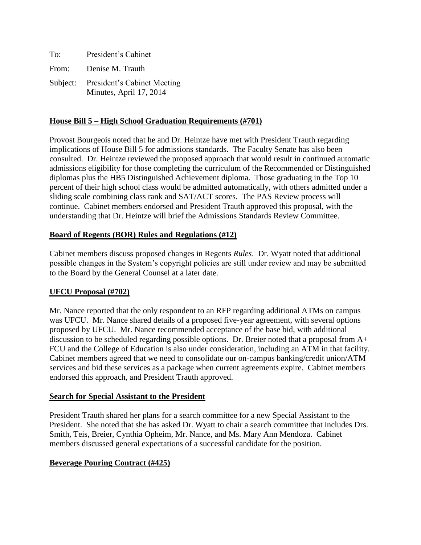| To:   | President's Cabinet                                             |
|-------|-----------------------------------------------------------------|
| From: | Denise M. Trauth                                                |
|       | Subject: President's Cabinet Meeting<br>Minutes, April 17, 2014 |

### **House Bill 5 – High School Graduation Requirements (#701)**

Provost Bourgeois noted that he and Dr. Heintze have met with President Trauth regarding implications of House Bill 5 for admissions standards. The Faculty Senate has also been consulted. Dr. Heintze reviewed the proposed approach that would result in continued automatic admissions eligibility for those completing the curriculum of the Recommended or Distinguished diplomas plus the HB5 Distinguished Achievement diploma. Those graduating in the Top 10 percent of their high school class would be admitted automatically, with others admitted under a sliding scale combining class rank and SAT/ACT scores. The PAS Review process will continue. Cabinet members endorsed and President Trauth approved this proposal, with the understanding that Dr. Heintze will brief the Admissions Standards Review Committee.

## **Board of Regents (BOR) Rules and Regulations (#12)**

Cabinet members discuss proposed changes in Regents *Rules*. Dr. Wyatt noted that additional possible changes in the System's copyright policies are still under review and may be submitted to the Board by the General Counsel at a later date.

# **UFCU Proposal (#702)**

Mr. Nance reported that the only respondent to an RFP regarding additional ATMs on campus was UFCU. Mr. Nance shared details of a proposed five-year agreement, with several options proposed by UFCU. Mr. Nance recommended acceptance of the base bid, with additional discussion to be scheduled regarding possible options. Dr. Breier noted that a proposal from A+ FCU and the College of Education is also under consideration, including an ATM in that facility. Cabinet members agreed that we need to consolidate our on-campus banking/credit union/ATM services and bid these services as a package when current agreements expire. Cabinet members endorsed this approach, and President Trauth approved.

#### **Search for Special Assistant to the President**

President Trauth shared her plans for a search committee for a new Special Assistant to the President. She noted that she has asked Dr. Wyatt to chair a search committee that includes Drs. Smith, Teis, Breier, Cynthia Opheim, Mr. Nance, and Ms. Mary Ann Mendoza. Cabinet members discussed general expectations of a successful candidate for the position.

# **Beverage Pouring Contract (#425)**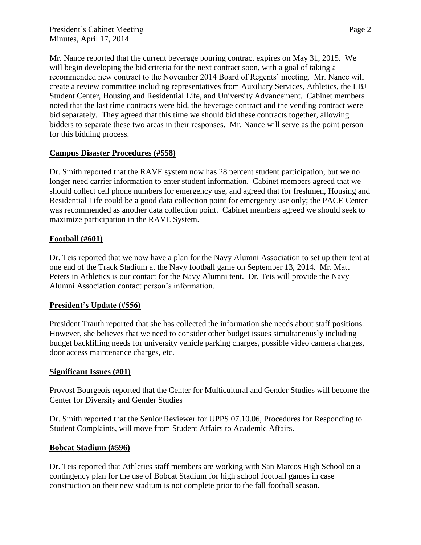Mr. Nance reported that the current beverage pouring contract expires on May 31, 2015. We will begin developing the bid criteria for the next contract soon, with a goal of taking a recommended new contract to the November 2014 Board of Regents' meeting. Mr. Nance will create a review committee including representatives from Auxiliary Services, Athletics, the LBJ Student Center, Housing and Residential Life, and University Advancement. Cabinet members noted that the last time contracts were bid, the beverage contract and the vending contract were bid separately. They agreed that this time we should bid these contracts together, allowing bidders to separate these two areas in their responses. Mr. Nance will serve as the point person for this bidding process.

## **Campus Disaster Procedures (#558)**

Dr. Smith reported that the RAVE system now has 28 percent student participation, but we no longer need carrier information to enter student information. Cabinet members agreed that we should collect cell phone numbers for emergency use, and agreed that for freshmen, Housing and Residential Life could be a good data collection point for emergency use only; the PACE Center was recommended as another data collection point. Cabinet members agreed we should seek to maximize participation in the RAVE System.

#### **Football (#601)**

Dr. Teis reported that we now have a plan for the Navy Alumni Association to set up their tent at one end of the Track Stadium at the Navy football game on September 13, 2014. Mr. Matt Peters in Athletics is our contact for the Navy Alumni tent. Dr. Teis will provide the Navy Alumni Association contact person's information.

#### **President's Update (#556)**

President Trauth reported that she has collected the information she needs about staff positions. However, she believes that we need to consider other budget issues simultaneously including budget backfilling needs for university vehicle parking charges, possible video camera charges, door access maintenance charges, etc.

#### **Significant Issues (#01)**

Provost Bourgeois reported that the Center for Multicultural and Gender Studies will become the Center for Diversity and Gender Studies

Dr. Smith reported that the Senior Reviewer for UPPS 07.10.06, Procedures for Responding to Student Complaints, will move from Student Affairs to Academic Affairs.

#### **Bobcat Stadium (#596)**

Dr. Teis reported that Athletics staff members are working with San Marcos High School on a contingency plan for the use of Bobcat Stadium for high school football games in case construction on their new stadium is not complete prior to the fall football season.